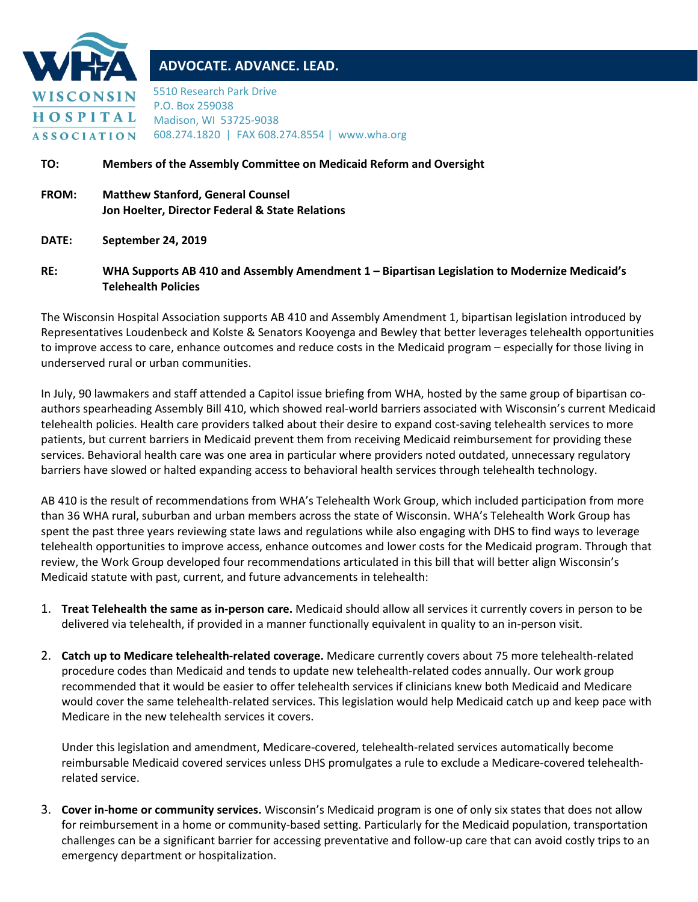

# **ADVOCATE. ADVANCE. LEAD.**

5510 Research Park Drive P.O. Box 259038 Madison, WI 53725-9038 608.274.1820 | FAX 608.274.8554 | www.wha.org

#### **TO: Members of the Assembly Committee on Medicaid Reform and Oversight**

- **FROM: Matthew Stanford, General Counsel Jon Hoelter, Director Federal & State Relations**
- **DATE: September 24, 2019**

#### **RE: WHA Supports AB 410 and Assembly Amendment 1 – Bipartisan Legislation to Modernize Medicaid's Telehealth Policies**

The Wisconsin Hospital Association supports AB 410 and Assembly Amendment 1, bipartisan legislation introduced by Representatives Loudenbeck and Kolste & Senators Kooyenga and Bewley that better leverages telehealth opportunities to improve access to care, enhance outcomes and reduce costs in the Medicaid program – especially for those living in underserved rural or urban communities.

In July, 90 lawmakers and staff attended a Capitol issue briefing from WHA, hosted by the same group of bipartisan coauthors spearheading Assembly Bill 410, which showed real-world barriers associated with Wisconsin's current Medicaid telehealth policies. Health care providers talked about their desire to expand cost-saving telehealth services to more patients, but current barriers in Medicaid prevent them from receiving Medicaid reimbursement for providing these services. Behavioral health care was one area in particular where providers noted outdated, unnecessary regulatory barriers have slowed or halted expanding access to behavioral health services through telehealth technology.

AB 410 is the result of recommendations from WHA's Telehealth Work Group, which included participation from more than 36 WHA rural, suburban and urban members across the state of Wisconsin. WHA's Telehealth Work Group has spent the past three years reviewing state laws and regulations while also engaging with DHS to find ways to leverage telehealth opportunities to improve access, enhance outcomes and lower costs for the Medicaid program. Through that review, the Work Group developed four recommendations articulated in this bill that will better align Wisconsin's Medicaid statute with past, current, and future advancements in telehealth:

- 1. **Treat Telehealth the same as in-person care.** Medicaid should allow all services it currently covers in person to be delivered via telehealth, if provided in a manner functionally equivalent in quality to an in-person visit.
- 2. **Catch up to Medicare telehealth-related coverage.** Medicare currently covers about 75 more telehealth-related procedure codes than Medicaid and tends to update new telehealth-related codes annually. Our work group recommended that it would be easier to offer telehealth services if clinicians knew both Medicaid and Medicare would cover the same telehealth-related services. This legislation would help Medicaid catch up and keep pace with Medicare in the new telehealth services it covers.

Under this legislation and amendment, Medicare-covered, telehealth-related services automatically become reimbursable Medicaid covered services unless DHS promulgates a rule to exclude a Medicare-covered telehealthrelated service.

3. **Cover in-home or community services.** Wisconsin's Medicaid program is one of only six states that does not allow for reimbursement in a home or community-based setting. Particularly for the Medicaid population, transportation challenges can be a significant barrier for accessing preventative and follow-up care that can avoid costly trips to an emergency department or hospitalization.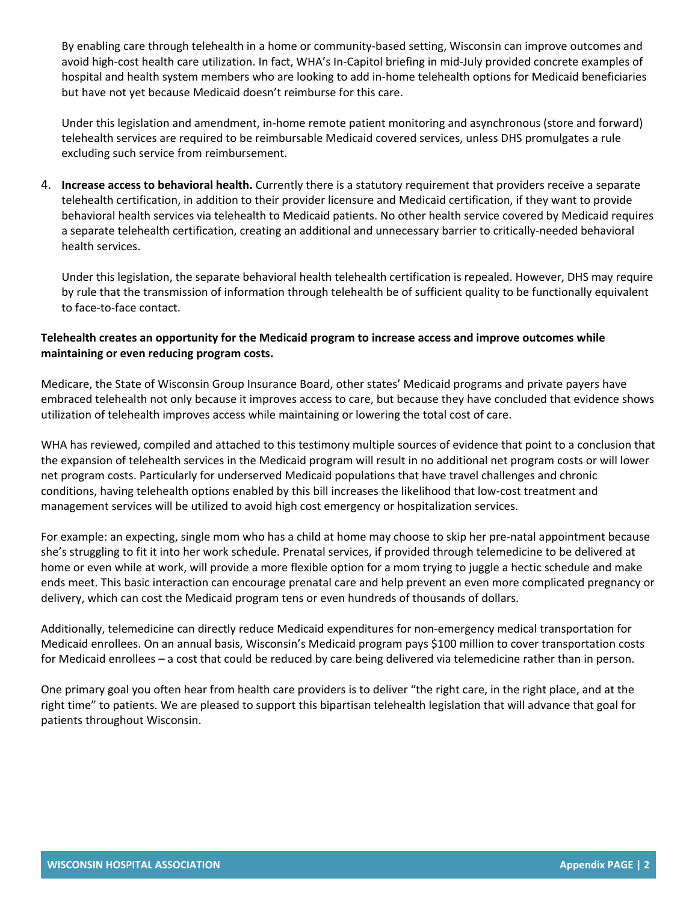By enabling care through telehealth in a home or community-based setting, Wisconsin can improve outcomes and avoid high-cost health care utilization. In fact, WHA's In-Capitol briefing in mid-July provided concrete examples of hospital and health system members who are looking to add in-home telehealth options for Medicaid beneficiaries but have not yet because Medicaid doesn't reimburse for this care.

Under this legislation and amendment, in-home remote patient monitoring and asynchronous (store and forward) telehealth services are required to be reimbursable Medicaid covered services, unless DHS promulgates a rule excluding such service from reimbursement.

4. **Increase access to behavioral health.** Currently there is a statutory requirement that providers receive a separate telehealth certification, in addition to their provider licensure and Medicaid certification, if they want to provide behavioral health services via telehealth to Medicaid patients. No other health service covered by Medicaid requires a separate telehealth certification, creating an additional and unnecessary barrier to critically-needed behavioral health services.

Under this legislation, the separate behavioral health telehealth certification is repealed. However, DHS may require by rule that the transmission of information through telehealth be of sufficient quality to be functionally equivalent to face-to-face contact.

## **Telehealth creates an opportunity for the Medicaid program to increase access and improve outcomes while maintaining or even reducing program costs.**

Medicare, the State of Wisconsin Group Insurance Board, other states' Medicaid programs and private payers have embraced telehealth not only because it improves access to care, but because they have concluded that evidence shows utilization of telehealth improves access while maintaining or lowering the total cost of care.

WHA has reviewed, compiled and attached to this testimony multiple sources of evidence that point to a conclusion that the expansion of telehealth services in the Medicaid program will result in no additional net program costs or will lower net program costs. Particularly for underserved Medicaid populations that have travel challenges and chronic conditions, having telehealth options enabled by this bill increases the likelihood that low-cost treatment and management services will be utilized to avoid high cost emergency or hospitalization services.

For example: an expecting, single mom who has a child at home may choose to skip her pre-natal appointment because she's struggling to fit it into her work schedule. Prenatal services, if provided through telemedicine to be delivered at home or even while at work, will provide a more flexible option for a mom trying to juggle a hectic schedule and make ends meet. This basic interaction can encourage prenatal care and help prevent an even more complicated pregnancy or delivery, which can cost the Medicaid program tens or even hundreds of thousands of dollars.

Additionally, telemedicine can directly reduce Medicaid expenditures for non-emergency medical transportation for Medicaid enrollees. On an annual basis, Wisconsin's Medicaid program pays \$100 million to cover transportation costs for Medicaid enrollees – a cost that could be reduced by care being delivered via telemedicine rather than in person.

One primary goal you often hear from health care providers is to deliver "the right care, in the right place, and at the right time" to patients. We are pleased to support this bipartisan telehealth legislation that will advance that goal for patients throughout Wisconsin.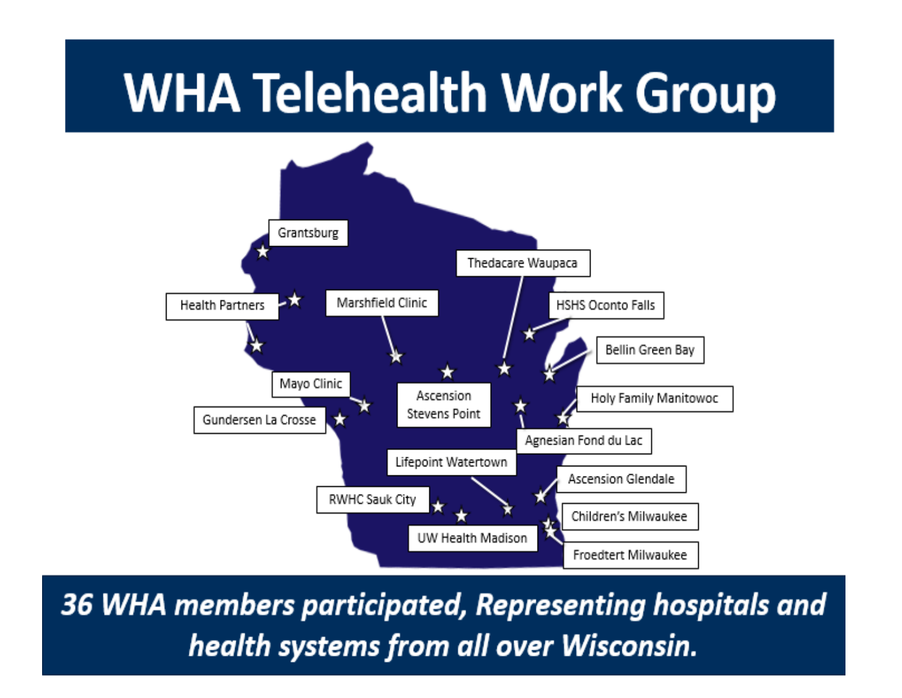# **WHA Telehealth Work Group**



36 WHA members participated, Representing hospitals and health systems from all over Wisconsin.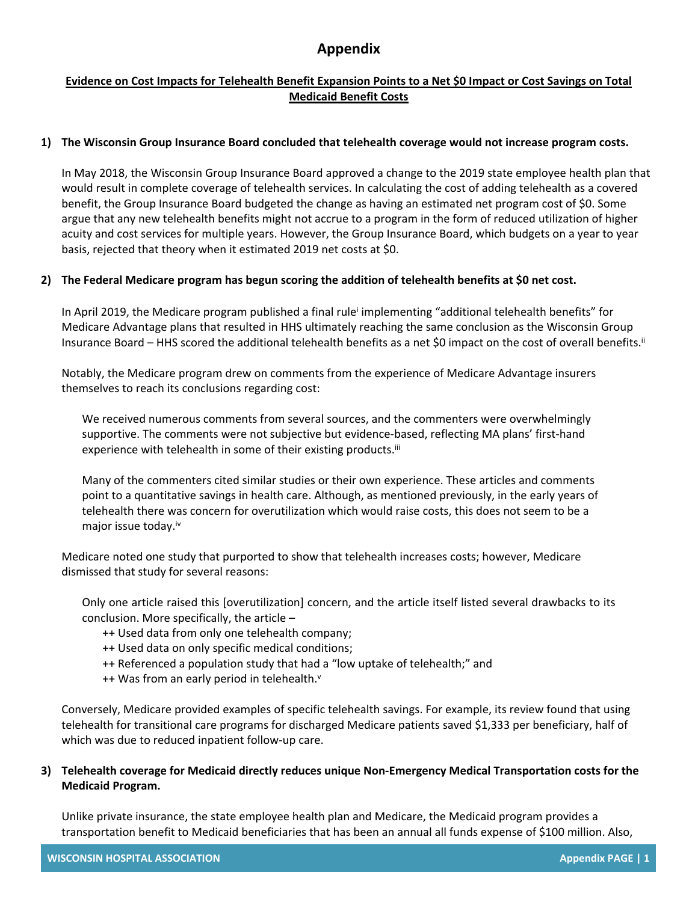# **Appendix**

# **Evidence on Cost Impacts for Telehealth Benefit Expansion Points to a Net \$0 Impact or Cost Savings on Total Medicaid Benefit Costs**

#### **1) The Wisconsin Group Insurance Board concluded that telehealth coverage would not increase program costs.**

In May 2018, the Wisconsin Group Insurance Board approved a change to the 2019 state employee health plan that would result in complete coverage of telehealth services. In calculating the cost of adding telehealth as a covered benefit, the Group Insurance Board budgeted the change as having an estimated net program cost of \$0. Some argue that any new telehealth benefits might not accrue to a program in the form of reduced utilization of higher acuity and cost services for multiple years. However, the Group Insurance Board, which budgets on a year to year basis, rejected that theory when it estimated 2019 net costs at \$0.

## **2) The Federal Medicare program has begun scoring the addition of telehealth benefits at \$0 net cost.**

In April 2019, the Medicare program published a final rule<sup>i</sup> implementing "additional telehealth benefits" for Medicare Advantage plans that resulted in HHS ultimately reaching the same conclusion as the Wisconsin Group Insurance Board – HHS scored the additional telehealth benefits as a net \$0 impact on the cost of overall benefits.<sup>ii</sup>

Notably, the Medicare program drew on comments from the experience of Medicare Advantage insurers themselves to reach its conclusions regarding cost:

We received numerous comments from several sources, and the commenters were overwhelmingly supportive. The comments were not subjective but evidence-based, reflecting MA plans' first-hand experience with telehealth in some of their existing products.<sup>iii</sup>

Many of the commenters cited similar studies or their own experience. These articles and comments point to a quantitative savings in health care. Although, as mentioned previously, in the early years of telehealth there was concern for overutilization which would raise costs, this does not seem to be a major issue today.iv

Medicare noted one study that purported to show that telehealth increases costs; however, Medicare dismissed that study for several reasons:

Only one article raised this [overutilization] concern, and the article itself listed several drawbacks to its conclusion. More specifically, the article –

- ++ Used data from only one telehealth company;
- ++ Used data on only specific medical conditions;
- ++ Referenced a population study that had a "low uptake of telehealth;" and
- $++$  Was from an early period in telehealth. $v$

Conversely, Medicare provided examples of specific telehealth savings. For example, its review found that using telehealth for transitional care programs for discharged Medicare patients saved \$1,333 per beneficiary, half of which was due to reduced inpatient follow-up care.

## **3) Telehealth coverage for Medicaid directly reduces unique Non-Emergency Medical Transportation costs for the Medicaid Program.**

Unlike private insurance, the state employee health plan and Medicare, the Medicaid program provides a transportation benefit to Medicaid beneficiaries that has been an annual all funds expense of \$100 million. Also,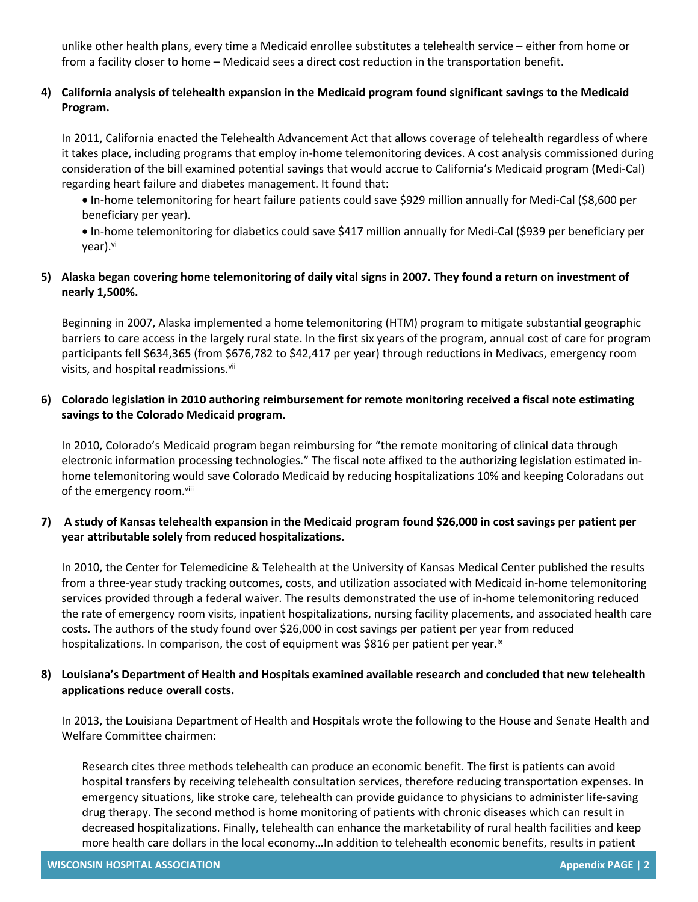unlike other health plans, every time a Medicaid enrollee substitutes a telehealth service – either from home or from a facility closer to home – Medicaid sees a direct cost reduction in the transportation benefit.

# **4) California analysis of telehealth expansion in the Medicaid program found significant savings to the Medicaid Program.**

In 2011, California enacted the Telehealth Advancement Act that allows coverage of telehealth regardless of where it takes place, including programs that employ in-home telemonitoring devices. A cost analysis commissioned during consideration of the bill examined potential savings that would accrue to California's Medicaid program (Medi-Cal) regarding heart failure and diabetes management. It found that:

 In-home telemonitoring for heart failure patients could save \$929 million annually for Medi-Cal (\$8,600 per beneficiary per year).

 In-home telemonitoring for diabetics could save \$417 million annually for Medi-Cal (\$939 per beneficiary per vear).<sup>vi</sup>

# **5) Alaska began covering home telemonitoring of daily vital signs in 2007. They found a return on investment of nearly 1,500%.**

Beginning in 2007, Alaska implemented a home telemonitoring (HTM) program to mitigate substantial geographic barriers to care access in the largely rural state. In the first six years of the program, annual cost of care for program participants fell \$634,365 (from \$676,782 to \$42,417 per year) through reductions in Medivacs, emergency room visits, and hospital readmissions.vii

## **6) Colorado legislation in 2010 authoring reimbursement for remote monitoring received a fiscal note estimating savings to the Colorado Medicaid program.**

In 2010, Colorado's Medicaid program began reimbursing for "the remote monitoring of clinical data through electronic information processing technologies." The fiscal note affixed to the authorizing legislation estimated inhome telemonitoring would save Colorado Medicaid by reducing hospitalizations 10% and keeping Coloradans out of the emergency room.viii

## **7) A study of Kansas telehealth expansion in the Medicaid program found \$26,000 in cost savings per patient per year attributable solely from reduced hospitalizations.**

In 2010, the Center for Telemedicine & Telehealth at the University of Kansas Medical Center published the results from a three-year study tracking outcomes, costs, and utilization associated with Medicaid in-home telemonitoring services provided through a federal waiver. The results demonstrated the use of in-home telemonitoring reduced the rate of emergency room visits, inpatient hospitalizations, nursing facility placements, and associated health care costs. The authors of the study found over \$26,000 in cost savings per patient per year from reduced hospitalizations. In comparison, the cost of equipment was \$816 per patient per year.<sup>ix</sup>

## **8) Louisiana's Department of Health and Hospitals examined available research and concluded that new telehealth applications reduce overall costs.**

In 2013, the Louisiana Department of Health and Hospitals wrote the following to the House and Senate Health and Welfare Committee chairmen:

Research cites three methods telehealth can produce an economic benefit. The first is patients can avoid hospital transfers by receiving telehealth consultation services, therefore reducing transportation expenses. In emergency situations, like stroke care, telehealth can provide guidance to physicians to administer life-saving drug therapy. The second method is home monitoring of patients with chronic diseases which can result in decreased hospitalizations. Finally, telehealth can enhance the marketability of rural health facilities and keep more health care dollars in the local economy…In addition to telehealth economic benefits, results in patient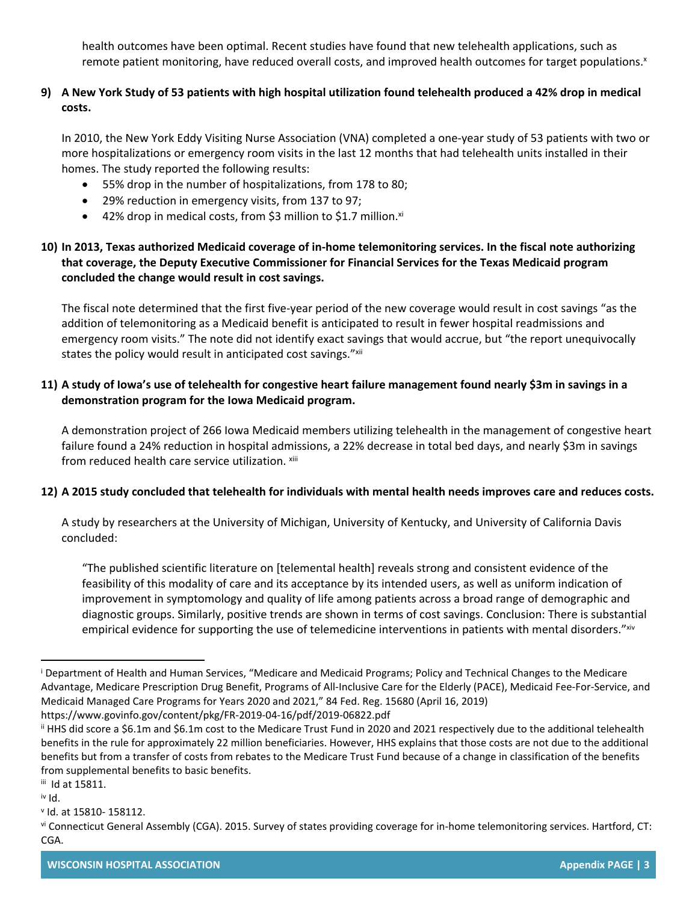health outcomes have been optimal. Recent studies have found that new telehealth applications, such as remote patient monitoring, have reduced overall costs, and improved health outcomes for target populations.<sup>x</sup>

# **9) A New York Study of 53 patients with high hospital utilization found telehealth produced a 42% drop in medical costs.**

In 2010, the New York Eddy Visiting Nurse Association (VNA) completed a one-year study of 53 patients with two or more hospitalizations or emergency room visits in the last 12 months that had telehealth units installed in their homes. The study reported the following results:

- 55% drop in the number of hospitalizations, from 178 to 80;
- 29% reduction in emergency visits, from 137 to 97;
- $\bullet$  42% drop in medical costs, from \$3 million to \$1.7 million.<sup>xi</sup>

# **10) In 2013, Texas authorized Medicaid coverage of in-home telemonitoring services. In the fiscal note authorizing that coverage, the Deputy Executive Commissioner for Financial Services for the Texas Medicaid program concluded the change would result in cost savings.**

The fiscal note determined that the first five-year period of the new coverage would result in cost savings "as the addition of telemonitoring as a Medicaid benefit is anticipated to result in fewer hospital readmissions and emergency room visits." The note did not identify exact savings that would accrue, but "the report unequivocally states the policy would result in anticipated cost savings."xii

# **11) A study of Iowa's use of telehealth for congestive heart failure management found nearly \$3m in savings in a demonstration program for the Iowa Medicaid program.**

A demonstration project of 266 Iowa Medicaid members utilizing telehealth in the management of congestive heart failure found a 24% reduction in hospital admissions, a 22% decrease in total bed days, and nearly \$3m in savings from reduced health care service utilization. xiii

# **12) A 2015 study concluded that telehealth for individuals with mental health needs improves care and reduces costs.**

A study by researchers at the University of Michigan, University of Kentucky, and University of California Davis concluded:

"The published scientific literature on [telemental health] reveals strong and consistent evidence of the feasibility of this modality of care and its acceptance by its intended users, as well as uniform indication of improvement in symptomology and quality of life among patients across a broad range of demographic and diagnostic groups. Similarly, positive trends are shown in terms of cost savings. Conclusion: There is substantial empirical evidence for supporting the use of telemedicine interventions in patients with mental disorders." xiv

i Department of Health and Human Services, "Medicare and Medicaid Programs; Policy and Technical Changes to the Medicare Advantage, Medicare Prescription Drug Benefit, Programs of All-Inclusive Care for the Elderly (PACE), Medicaid Fee-For-Service, and Medicaid Managed Care Programs for Years 2020 and 2021," 84 Fed. Reg. 15680 (April 16, 2019) https://www.govinfo.gov/content/pkg/FR-2019-04-16/pdf/2019-06822.pdf

ii HHS did score a \$6.1m and \$6.1m cost to the Medicare Trust Fund in 2020 and 2021 respectively due to the additional telehealth benefits in the rule for approximately 22 million beneficiaries. However, HHS explains that those costs are not due to the additional benefits but from a transfer of costs from rebates to the Medicare Trust Fund because of a change in classification of the benefits from supplemental benefits to basic benefits.

iii Id at 15811.

iv Id.

v Id. at 15810- 158112.

vi Connecticut General Assembly (CGA). 2015. Survey of states providing coverage for in-home telemonitoring services. Hartford, CT: CGA.